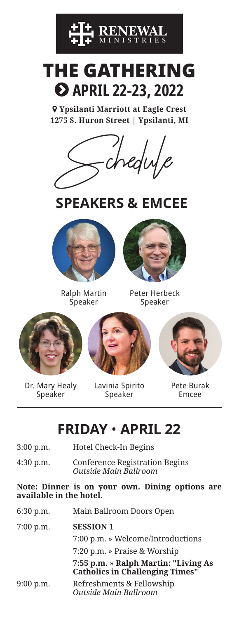

## THE GATHERING **APRIL 22-23, 2022**

 **Ypsilanti Marriott at Eagle Crest 1275 S. Huron Street | Ypsilanti, MI** 



## **SPEAKERS & EMCEE**



Ralph Martin Speaker



Peter Herbeck Speaker



Dr. Mary Healy Speaker

Lavinia Spirito Speaker



Pete Burak Emcee

## **FRIDAY** • **APRIL 22**

| $3:00$ p.m.                                                                | Hotel Check-In Begins                                          |  |
|----------------------------------------------------------------------------|----------------------------------------------------------------|--|
| 4:30 p.m.                                                                  | <b>Conference Registration Begins</b><br>Outside Main Ballroom |  |
| Note: Dinner is on your own. Dining options are<br>available in the hotel. |                                                                |  |
|                                                                            |                                                                |  |
| $6:30$ p.m.                                                                | Main Ballroom Doors Open                                       |  |

|             | 7:00 p.m. » Welcome/Introductions                                              |
|-------------|--------------------------------------------------------------------------------|
|             | 7:20 p.m. » Praise & Worship                                                   |
|             | 7:55 p.m. » Ralph Martin: "Living As<br><b>Catholics in Challenging Times"</b> |
| $9:00$ p.m. | Refreshments & Fellowship                                                      |

9:00 p.m. Refreshments & Fellowship *Outside Main Ballroom*